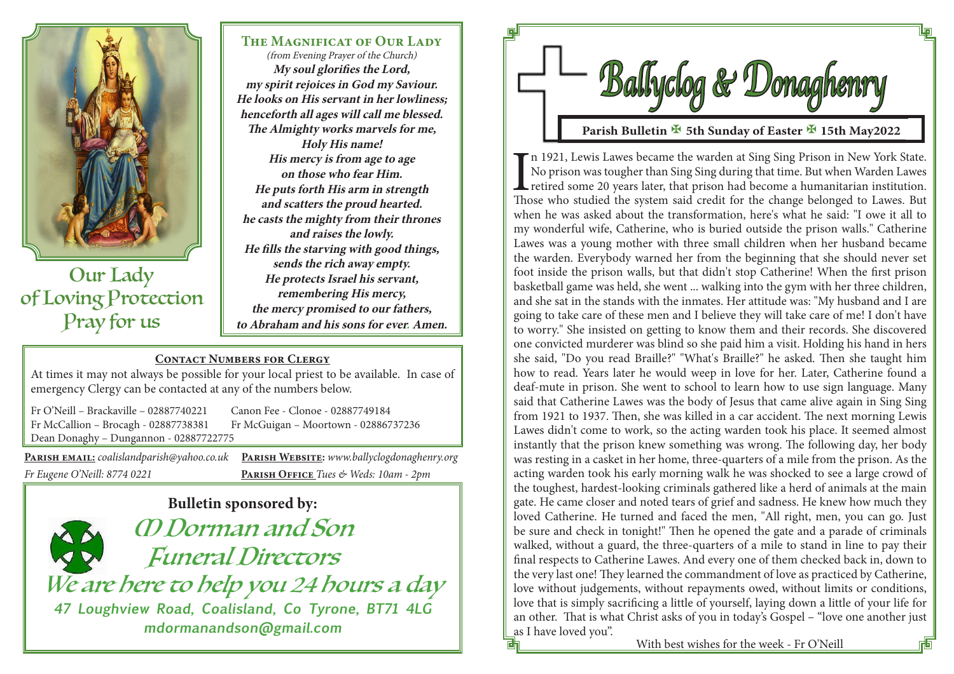

Our Lady of Loving Protection Pray for us

**The Magnificat of Our Lady**

(from Evening Prayer of the Church) **My soul glorifies the Lord, my spirit rejoices in God my Saviour. He looks on His servant in her lowliness; henceforth all ages will call me blessed. The Almighty works marvels for me, Holy His name! His mercy is from age to age on those who fear Him. He puts forth His arm in strength and scatters the proud hearted. he casts the mighty from their thrones and raises the lowly. He fills the starving with good things, sends the rich away empty. He protects Israel his servant, remembering His mercy, the mercy promised to our fathers, to Abraham and his sons for ever. Amen.**

#### **Contact Numbers for Clergy**

At times it may not always be possible for your local priest to be available. In case of emergency Clergy can be contacted at any of the numbers below.

Fr O'Neill – Brackaville – 02887740221 Canon Fee - Clonoe - 02887749184 Fr McCallion – Brocagh - 02887738381 Fr McGuigan – Moortown - 02886737236 Dean Donaghy – Dungannon - 02887722775

**Parish email:** *coalislandparish@yahoo.co.uk* **Parish Website:** *www.ballyclogdonaghenry.org Fr Eugene O'Neill: 8774 0221* **Parish Office** *Tues & Weds: 10am - 2pm*



 *Ballyclog & Donaghenry*

#### **Parish Bulletin**  $\overline{\mathbb{F}}$  **5th Sunday of Easter**  $\overline{\mathbb{F}}$  **15th May2022**

I<sub>The</sub> n 1921, Lewis Lawes became the warden at Sing Sing Prison in New York State. No prison was tougher than Sing Sing during that time. But when Warden Lawes retired some 20 years later, that prison had become a humanitarian institution. Those who studied the system said credit for the change belonged to Lawes. But when he was asked about the transformation, here's what he said: "I owe it all to my wonderful wife, Catherine, who is buried outside the prison walls." Catherine Lawes was a young mother with three small children when her husband became the warden. Everybody warned her from the beginning that she should never set foot inside the prison walls, but that didn't stop Catherine! When the first prison basketball game was held, she went ... walking into the gym with her three children, and she sat in the stands with the inmates. Her attitude was: "My husband and I are going to take care of these men and I believe they will take care of me! I don't have to worry." She insisted on getting to know them and their records. She discovered one convicted murderer was blind so she paid him a visit. Holding his hand in hers she said, "Do you read Braille?" "What's Braille?" he asked. Then she taught him how to read. Years later he would weep in love for her. Later, Catherine found a deaf-mute in prison. She went to school to learn how to use sign language. Many said that Catherine Lawes was the body of Jesus that came alive again in Sing Sing from 1921 to 1937. Then, she was killed in a car accident. The next morning Lewis Lawes didn't come to work, so the acting warden took his place. It seemed almost instantly that the prison knew something was wrong. The following day, her body was resting in a casket in her home, three-quarters of a mile from the prison. As the acting warden took his early morning walk he was shocked to see a large crowd of the toughest, hardest-looking criminals gathered like a herd of animals at the main gate. He came closer and noted tears of grief and sadness. He knew how much they loved Catherine. He turned and faced the men, "All right, men, you can go. Just be sure and check in tonight!" Then he opened the gate and a parade of criminals walked, without a guard, the three-quarters of a mile to stand in line to pay their final respects to Catherine Lawes. And every one of them checked back in, down to the very last one! They learned the commandment of love as practiced by Catherine, love without judgements, without repayments owed, without limits or conditions, love that is simply sacrificing a little of yourself, laying down a little of your life for an other. That is what Christ asks of you in today's Gospel – "love one another just as I have loved you".

With best wishes for the week - Fr O'Neill